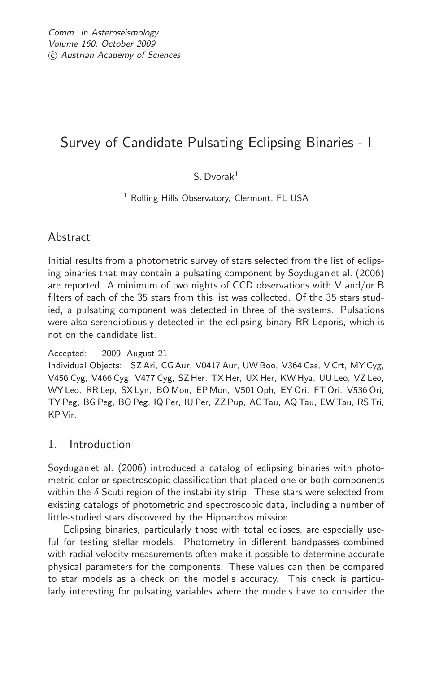# Survey of Candidate Pulsating Eclipsing Binaries - I

## S. Dvorak<sup>1</sup>

<sup>1</sup> Rolling Hills Observatory, Clermont, FL USA

## Abstract

Initial results from a photometric survey of stars selected from the list of eclipsing binaries that may contain a pulsating component by Soydugan et al. (2006) are reported. A minimum of two nights of CCD observations with V and/or B filters of each of the 35 stars from this list was collected. Of the 35 stars studied, a pulsating component was detected in three of the systems. Pulsations were also serendiptiously detected in the eclipsing binary RR Leporis, which is not on the candidate list.

#### Accepted: 2009, August 21

Individual Objects: SZ Ari, CG Aur, V0417 Aur, UW Boo, V364 Cas, V Crt, MY Cyg, V456 Cyg, V466 Cyg, V477 Cyg, SZ Her, TX Her, UX Her, KW Hya, UU Leo, VZ Leo, WY Leo, RR Lep, SX Lyn, BO Mon, EP Mon, V501 Oph, EY Ori, FT Ori, V536 Ori, TY Peg, BG Peg, BO Peg, IQ Per, IU Per, ZZ Pup, AC Tau, AQ Tau, EW Tau, RS Tri, KP Vir.

## 1. Introduction

Soydugan et al. (2006) introduced a catalog of eclipsing binaries with photometric color or spectroscopic classification that placed one or both components within the  $\delta$  Scuti region of the instability strip. These stars were selected from existing catalogs of photometric and spectroscopic data, including a number of little-studied stars discovered by the Hipparchos mission.

Eclipsing binaries, particularly those with total eclipses, are especially useful for testing stellar models. Photometry in different bandpasses combined with radial velocity measurements often make it possible to determine accurate physical parameters for the components. These values can then be compared to star models as a check on the model's accuracy. This check is particularly interesting for pulsating variables where the models have to consider the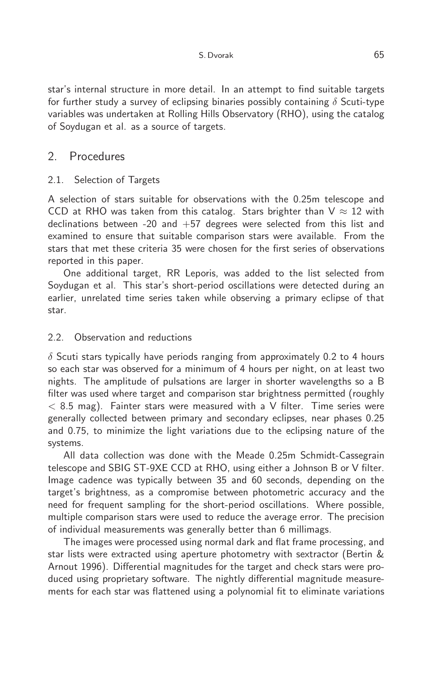star's internal structure in more detail. In an attempt to find suitable targets for further study a survey of eclipsing binaries possibly containing  $\delta$  Scuti-type variables was undertaken at Rolling Hills Observatory (RHO), using the catalog of Soydugan et al. as a source of targets.

## 2. Procedures

#### 2.1. Selection of Targets

A selection of stars suitable for observations with the 0.25m telescope and CCD at RHO was taken from this catalog. Stars brighter than  $V \approx 12$  with declinations between -20 and  $+57$  degrees were selected from this list and examined to ensure that suitable comparison stars were available. From the stars that met these criteria 35 were chosen for the first series of observations reported in this paper.

One additional target, RR Leporis, was added to the list selected from Soydugan et al. This star's short-period oscillations were detected during an earlier, unrelated time series taken while observing a primary eclipse of that star.

#### 2.2. Observation and reductions

 $\delta$  Scuti stars typically have periods ranging from approximately 0.2 to 4 hours so each star was observed for a minimum of 4 hours per night, on at least two nights. The amplitude of pulsations are larger in shorter wavelengths so a B filter was used where target and comparison star brightness permitted (roughly  $<$  8.5 mag). Fainter stars were measured with a V filter. Time series were generally collected between primary and secondary eclipses, near phases 0.25 and 0.75, to minimize the light variations due to the eclipsing nature of the systems.

All data collection was done with the Meade 0.25m Schmidt-Cassegrain telescope and SBIG ST-9XE CCD at RHO, using either a Johnson B or V filter. Image cadence was typically between 35 and 60 seconds, depending on the target's brightness, as a compromise between photometric accuracy and the need for frequent sampling for the short-period oscillations. Where possible, multiple comparison stars were used to reduce the average error. The precision of individual measurements was generally better than 6 millimags.

The images were processed using normal dark and flat frame processing, and star lists were extracted using aperture photometry with sextractor (Bertin & Arnout 1996). Differential magnitudes for the target and check stars were produced using proprietary software. The nightly differential magnitude measurements for each star was flattened using a polynomial fit to eliminate variations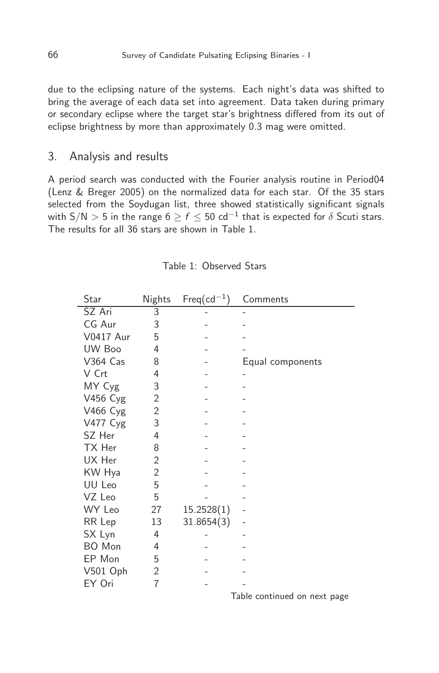due to the eclipsing nature of the systems. Each night's data was shifted to bring the average of each data set into agreement. Data taken during primary or secondary eclipse where the target star's brightness differed from its out of eclipse brightness by more than approximately 0.3 mag were omitted.

### 3. Analysis and results

A period search was conducted with the Fourier analysis routine in Period04 (Lenz & Breger 2005) on the normalized data for each star. Of the 35 stars selected from the Soydugan list, three showed statistically significant signals with S/N  $>$  5 in the range 6  $\geq$   $f$   $\leq$  50 cd $^{-1}$  that is expected for  $\delta$  Scuti stars. The results for all 36 stars are shown in Table 1.

| Star             | Nights | $Freq(cd^{-1})$ | Comments         |
|------------------|--------|-----------------|------------------|
| SZ Ari           | 3      |                 |                  |
| CG Aur           | 3      |                 |                  |
| <b>V0417 Aur</b> | 5      |                 |                  |
| UW Boo           | 4      |                 |                  |
| V364 Cas         | 8      |                 | Equal components |
| V Crt            | 4      |                 |                  |
| MY Cyg           | 3      |                 |                  |
| V456 Cyg         | 2      |                 |                  |
| V466 Cyg         | 2      |                 |                  |
| <b>V477 Cyg</b>  | 3      |                 |                  |
| SZ Her           | 4      |                 |                  |
| TX Her           | 8      |                 |                  |
| UX Her           | 2      |                 |                  |
| KW Hya           | 2      |                 |                  |
| UU Leo           | 5      |                 |                  |
| VZ Leo           | 5      |                 |                  |
| WY Leo           | 27     | 15.2528(1)      |                  |
| RR Lep           | 13     | 31.8654(3)      |                  |
| SX Lyn           | 4      |                 |                  |
| BO Mon           | 4      |                 |                  |
| EP Mon           | 5      |                 |                  |
| V501 Oph         | 2      |                 |                  |
| EY Ori           | 7      |                 |                  |

|  |  | Table 1: Observed Stars |  |
|--|--|-------------------------|--|
|--|--|-------------------------|--|

Table continued on next page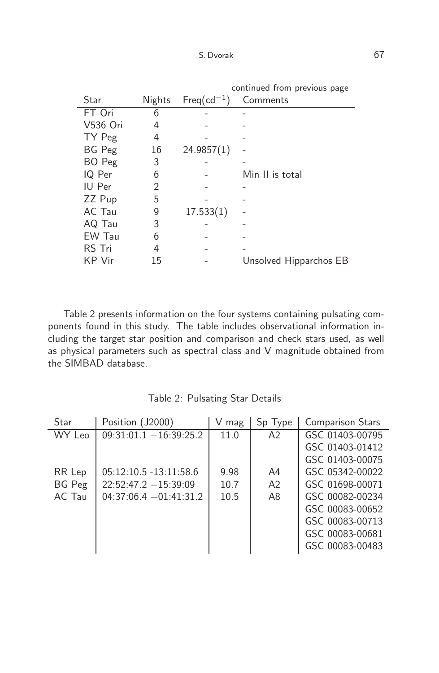|               |        | continued from previous page |                        |  |
|---------------|--------|------------------------------|------------------------|--|
| Star          | Nights | $Freq(cd^{-1})$              | Comments               |  |
| FT Ori        | 6      |                              |                        |  |
| V536 Ori      | 4      |                              |                        |  |
| TY Peg        | 4      |                              |                        |  |
| <b>BG</b> Peg | 16     | 24.9857(1)                   |                        |  |
| BO Peg        | 3      |                              |                        |  |
| IQ Per        | 6      |                              | Min II is total        |  |
| IU Per        | 2      |                              |                        |  |
| ZZ Pup        | 5      |                              |                        |  |
| AC Tau        | 9      | 17.533(1)                    |                        |  |
| AQ Tau        | 3      |                              |                        |  |
| EW Tau        | 6      |                              |                        |  |
| RS Tri        | 4      |                              |                        |  |
| KP Vir        | 15     |                              | Unsolved Hipparchos EB |  |

Table 2 presents information on the four systems containing pulsating components found in this study. The table includes observational information including the target star position and comparison and check stars used, as well as physical parameters such as spectral class and V magnitude obtained from the SIMBAD database.

| Star   | Position (J2000)          | V<br>mag | Sp Type        | <b>Comparison Stars</b> |
|--------|---------------------------|----------|----------------|-------------------------|
| WY Leo | $09:31:01.1 + 16:39:25.2$ | 11.0     | A2             | GSC 01403-00795         |
|        |                           |          |                | GSC 01403-01412         |
|        |                           |          |                | GSC 01403-00075         |
| RR Lep | $05:12:10.5 - 13:11:58.6$ | 9.98     | A4             | GSC 05342-00022         |
| BG Peg | $22:52:47.2 + 15:39:09$   | 10.7     | A <sub>2</sub> | GSC 01698-00071         |
| AC Tau | $04:37:06.4 + 01:41:31.2$ | 10.5     | A8             | GSC 00082-00234         |
|        |                           |          |                | GSC 00083-00652         |
|        |                           |          |                | GSC 00083-00713         |
|        |                           |          |                | GSC 00083-00681         |
|        |                           |          |                | GSC 00083-00483         |

Table 2: Pulsating Star Details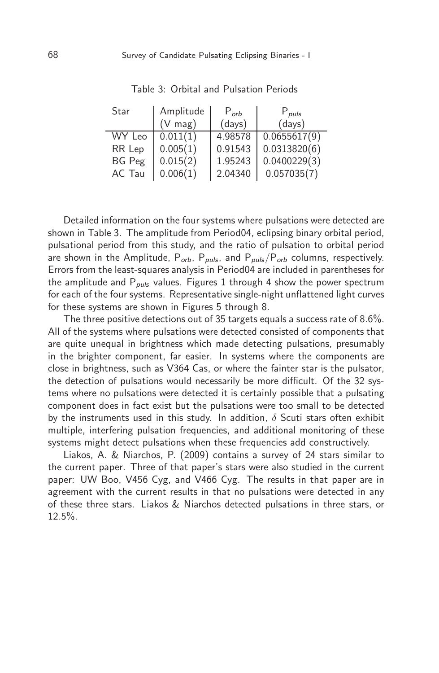| Star          | Amplitude         | $P_{orb}$ | $P_{puls}$   |
|---------------|-------------------|-----------|--------------|
|               | $(V \text{ mag})$ | (days)    | (days)       |
| WY Leo        | 0.011(1)          | 4.98578   | 0.0655617(9) |
| RR Lep        | 0.005(1)          | 0.91543   | 0.0313820(6) |
| <b>BG</b> Peg | 0.015(2)          | 1.95243   | 0.0400229(3) |
| AC Tau        | 0.006(1)          | 2.04340   | 0.057035(7)  |

Table 3: Orbital and Pulsation Periods

Detailed information on the four systems where pulsations were detected are shown in Table 3. The amplitude from Period04, eclipsing binary orbital period, pulsational period from this study, and the ratio of pulsation to orbital period are shown in the Amplitude,  $P_{orb}$ ,  $P_{puls}$ , and  $P_{puls}/P_{orb}$  columns, respectively. Errors from the least-squares analysis in Period04 are included in parentheses for the amplitude and  $P_{\text{puls}}$  values. Figures 1 through 4 show the power spectrum for each of the four systems. Representative single-night unflattened light curves for these systems are shown in Figures 5 through 8.

The three positive detections out of 35 targets equals a success rate of 8.6%. All of the systems where pulsations were detected consisted of components that are quite unequal in brightness which made detecting pulsations, presumably in the brighter component, far easier. In systems where the components are close in brightness, such as V364 Cas, or where the fainter star is the pulsator, the detection of pulsations would necessarily be more difficult. Of the 32 systems where no pulsations were detected it is certainly possible that a pulsating component does in fact exist but the pulsations were too small to be detected by the instruments used in this study. In addition,  $\delta$  Scuti stars often exhibit multiple, interfering pulsation frequencies, and additional monitoring of these systems might detect pulsations when these frequencies add constructively.

Liakos, A. & Niarchos, P. (2009) contains a survey of 24 stars similar to the current paper. Three of that paper's stars were also studied in the current paper: UW Boo, V456 Cyg, and V466 Cyg. The results in that paper are in agreement with the current results in that no pulsations were detected in any of these three stars. Liakos & Niarchos detected pulsations in three stars, or 12.5%.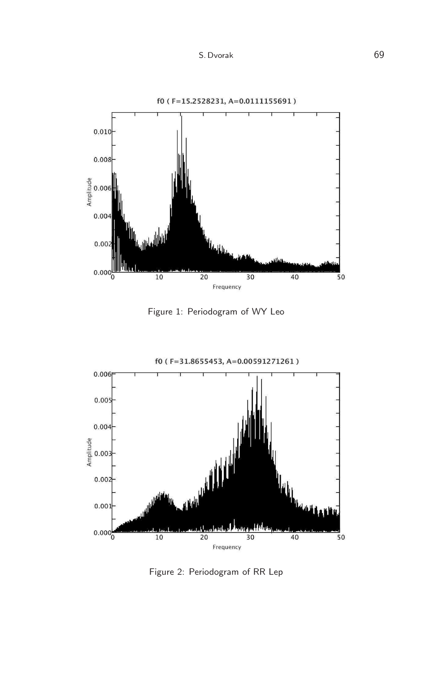



Figure 1: Periodogram of WY Leo



Figure 2: Periodogram of RR Lep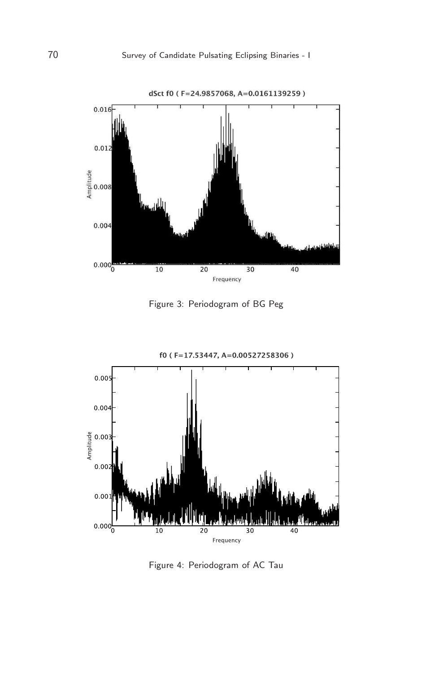

Figure 3: Periodogram of BG Peg



Figure 4: Periodogram of AC Tau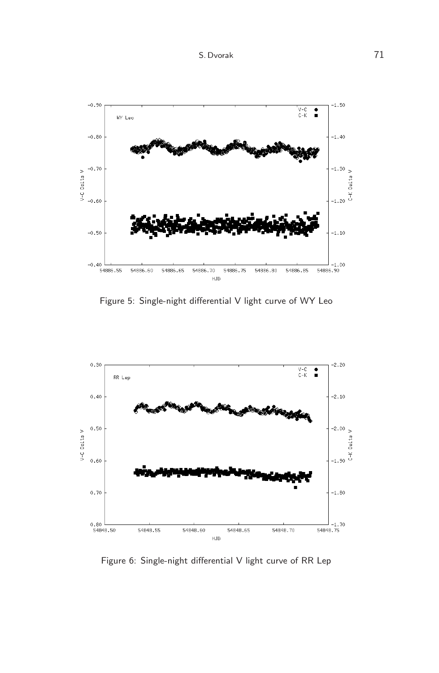

Figure 5: Single-night differential V light curve of WY Leo



Figure 6: Single-night differential V light curve of RR Lep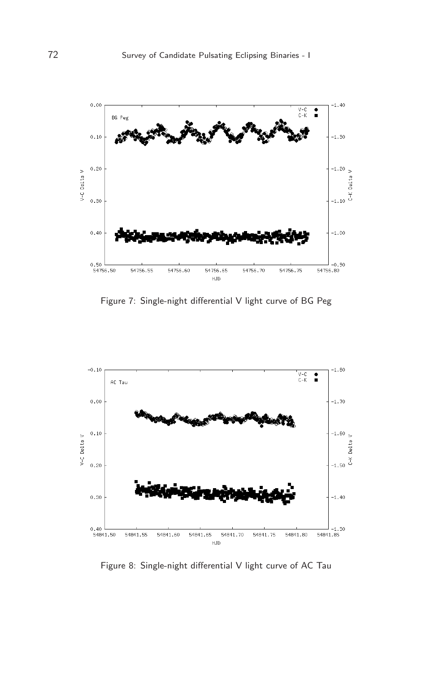

Figure 7: Single-night differential V light curve of BG Peg



Figure 8: Single-night differential V light curve of AC Tau